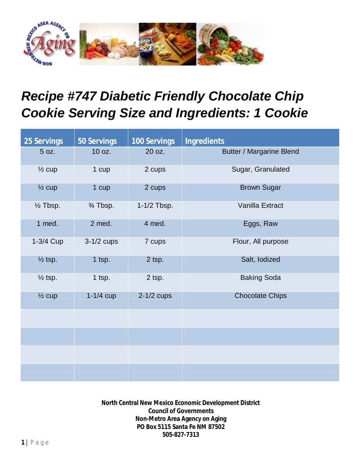

## *Recipe #747 Diabetic Friendly Chocolate Chip Cookie Serving Size and Ingredients: 1 Cookie*

| <b>25 Servings</b>  | <b>50 Servings</b> | <b>100 Servings</b> | <b>Ingredients</b>              |
|---------------------|--------------------|---------------------|---------------------------------|
| 5 oz.               | 10 oz.             | 20 oz.              | <b>Butter / Margarine Blend</b> |
| $\frac{1}{2}$ cup   | 1 cup              | 2 cups              | Sugar, Granulated               |
| $\frac{1}{2}$ cup   | 1 cup              | 2 cups              | <b>Brown Sugar</b>              |
| $\frac{1}{2}$ Tbsp. | 3⁄4 Tbsp.          | 1-1/2 Tbsp.         | Vanilla Extract                 |
| 1 med.              | 2 med.             | 4 med.              | Eggs, Raw                       |
| 1-3/4 Cup           | $3-1/2$ cups       | 7 cups              | Flour, All purpose              |
| $\frac{1}{2}$ tsp.  | $1$ tsp.           | 2 tsp.              | Salt, lodized                   |
| $\frac{1}{2}$ tsp.  | $1$ tsp.           | 2 tsp.              | <b>Baking Soda</b>              |
| $\frac{1}{2}$ cup   | $1-1/4$ cup        | $2-1/2$ cups        | <b>Chocolate Chips</b>          |
|                     |                    |                     |                                 |
|                     |                    |                     |                                 |
|                     |                    |                     |                                 |
|                     |                    |                     |                                 |

**North Central New Mexico Economic Development District Council of Governments Non-Metro Area Agency on Aging PO Box 5115 Santa Fe NM 87502 505-827-7313**